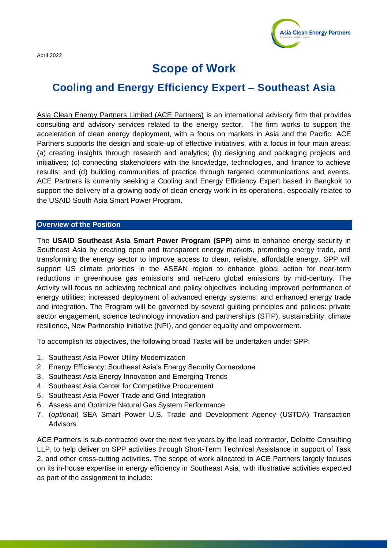April 2022



# **Scope of Work**

# **Cooling and Energy Efficiency Expert – Southeast Asia**

Asia Clean Energy Partners Limited (ACE Partners) is an international advisory firm that provides consulting and advisory services related to the energy sector. The firm works to support the acceleration of clean energy deployment, with a focus on markets in Asia and the Pacific. ACE Partners supports the design and scale-up of effective initiatives, with a focus in four main areas: (a) creating insights through research and analytics; (b) designing and packaging projects and initiatives; (c) connecting stakeholders with the knowledge, technologies, and finance to achieve results; and (d) building communities of practice through targeted communications and events. ACE Partners is currently seeking a Cooling and Energy Efficiency Expert based in Bangkok to support the delivery of a growing body of clean energy work in its operations, especially related to the USAID South Asia Smart Power Program.

#### **Overview of the Position**

The **USAID Southeast Asia Smart Power Program (SPP)** aims to enhance energy security in Southeast Asia by creating open and transparent energy markets, promoting energy trade, and transforming the energy sector to improve access to clean, reliable, affordable energy. SPP will support US climate priorities in the ASEAN region to enhance global action for near-term reductions in greenhouse gas emissions and net-zero global emissions by mid-century. The Activity will focus on achieving technical and policy objectives including improved performance of energy utilities; increased deployment of advanced energy systems; and enhanced energy trade and integration. The Program will be governed by several guiding principles and policies: private sector engagement, science technology innovation and partnerships (STIP), sustainability, climate resilience, New Partnership Initiative (NPI), and gender equality and empowerment.

To accomplish its objectives, the following broad Tasks will be undertaken under SPP:

- 1. Southeast Asia Power Utility Modernization
- 2. Energy Efficiency: Southeast Asia's Energy Security Cornerstone
- 3. Southeast Asia Energy Innovation and Emerging Trends
- 4. Southeast Asia Center for Competitive Procurement
- 5. Southeast Asia Power Trade and Grid Integration
- 6. Assess and Optimize Natural Gas System Performance
- 7. (*optional*) SEA Smart Power U.S. Trade and Development Agency (USTDA) Transaction Advisors

ACE Partners is sub-contracted over the next five years by the lead contractor, Deloitte Consulting LLP, to help deliver on SPP activities through Short-Term Technical Assistance in support of Task 2, and other cross-cutting activities. The scope of work allocated to ACE Partners largely focuses on its in-house expertise in energy efficiency in Southeast Asia, with illustrative activities expected as part of the assignment to include: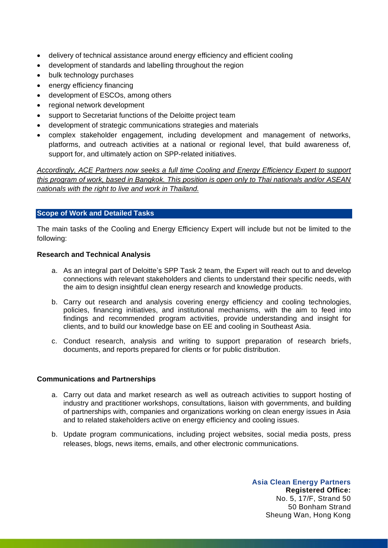- delivery of technical assistance around energy efficiency and efficient cooling
- development of standards and labelling throughout the region
- bulk technology purchases
- energy efficiency financing
- development of ESCOs, among others
- regional network development
- support to Secretariat functions of the Deloitte project team
- development of strategic communications strategies and materials
- complex stakeholder engagement, including development and management of networks, platforms, and outreach activities at a national or regional level, that build awareness of, support for, and ultimately action on SPP-related initiatives.

*Accordingly, ACE Partners now seeks a full time Cooling and Energy Efficiency Expert to support this program of work, based in Bangkok. This position is open only to Thai nationals and/or ASEAN nationals with the right to live and work in Thailand.*

## **Scope of Work and Detailed Tasks**

The main tasks of the Cooling and Energy Efficiency Expert will include but not be limited to the following:

#### **Research and Technical Analysis**

- a. As an integral part of Deloitte's SPP Task 2 team, the Expert will reach out to and develop connections with relevant stakeholders and clients to understand their specific needs, with the aim to design insightful clean energy research and knowledge products.
- b. Carry out research and analysis covering energy efficiency and cooling technologies, policies, financing initiatives, and institutional mechanisms, with the aim to feed into findings and recommended program activities, provide understanding and insight for clients, and to build our knowledge base on EE and cooling in Southeast Asia.
- c. Conduct research, analysis and writing to support preparation of research briefs, documents, and reports prepared for clients or for public distribution.

## **Communications and Partnerships**

- a. Carry out data and market research as well as outreach activities to support hosting of industry and practitioner workshops, consultations, liaison with governments, and building of partnerships with, companies and organizations working on clean energy issues in Asia and to related stakeholders active on energy efficiency and cooling issues.
- b. Update program communications, including project websites, social media posts, press releases, blogs, news items, emails, and other electronic communications.

**Asia Clean Energy Partners Registered Office:**  No. 5, 17/F, Strand 50 50 Bonham Strand Sheung Wan, Hong Kong